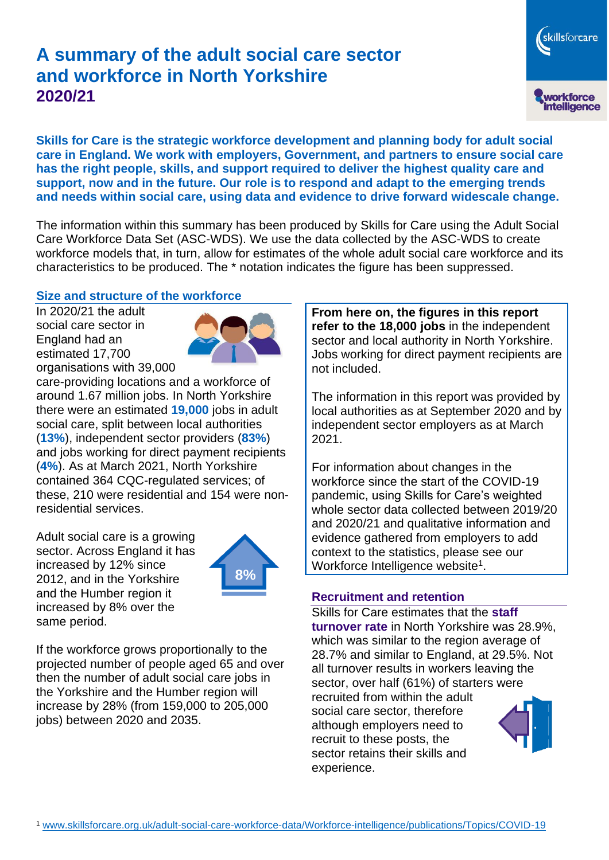# **A summary of the adult social care sector and workforce in North Yorkshire 2020/21**

skillsforcare workforce<br>intelligence

**Skills for Care is the strategic workforce development and planning body for adult social care in England. We work with employers, Government, and partners to ensure social care has the right people, skills, and support required to deliver the highest quality care and support, now and in the future. Our role is to respond and adapt to the emerging trends and needs within social care, using data and evidence to drive forward widescale change.**

The information within this summary has been produced by Skills for Care using the Adult Social Care Workforce Data Set (ASC-WDS). We use the data collected by the ASC-WDS to create workforce models that, in turn, allow for estimates of the whole adult social care workforce and its characteristics to be produced. The \* notation indicates the figure has been suppressed.

## **Size and structure of the workforce**

In 2020/21 the adult social care sector in England had an estimated 17,700 organisations with 39,000



care-providing locations and a workforce of around 1.67 million jobs. In North Yorkshire there were an estimated **19,000** jobs in adult social care, split between local authorities (**13%**), independent sector providers (**83%**) and jobs working for direct payment recipients (**4%**). As at March 2021, North Yorkshire contained 364 CQC-regulated services; of these, 210 were residential and 154 were nonresidential services.

Adult social care is a growing sector. Across England it has increased by 12% since 2012, and in the Yorkshire and the Humber region it increased by 8% over the same period.



If the workforce grows proportionally to the projected number of people aged 65 and over then the number of adult social care jobs in the Yorkshire and the Humber region will increase by 28% (from 159,000 to 205,000 jobs) between 2020 and 2035.

**From here on, the figures in this report refer to the 18,000 jobs** in the independent sector and local authority in North Yorkshire. Jobs working for direct payment recipients are not included.

The information in this report was provided by local authorities as at September 2020 and by independent sector employers as at March 2021.

For information about changes in the workforce since the start of the COVID-19 pandemic, using Skills for Care's weighted whole sector data collected between 2019/20 and 2020/21 and qualitative information and evidence gathered from employers to add context to the statistics, please see our Workforce Intelligence website<sup>1</sup>.

#### **Recruitment and retention**

Skills for Care estimates that the **staff turnover rate** in North Yorkshire was 28.9%, which was similar to the region average of 28.7% and similar to England, at 29.5%. Not all turnover results in workers leaving the sector, over half (61%) of starters were recruited from within the adult social care sector, therefore although employers need to recruit to these posts, the sector retains their skills and experience.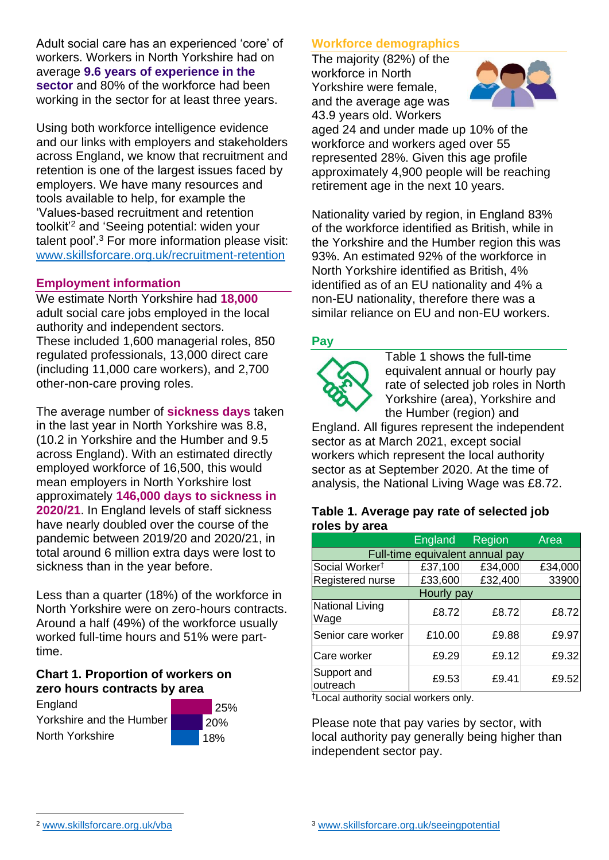Adult social care has an experienced 'core' of workers. Workers in North Yorkshire had on average **9.6 years of experience in the sector** and 80% of the workforce had been working in the sector for at least three years.

Using both workforce intelligence evidence and our links with employers and stakeholders across England, we know that recruitment and retention is one of the largest issues faced by employers. We have many resources and tools available to help, for example the 'Values-based recruitment and retention toolkit'<sup>2</sup> and 'Seeing potential: widen your talent pool'. <sup>3</sup> For more information please visit: [www.skillsforcare.org.uk/recruitment-retention](http://www.skillsforcare.org.uk/recruitment-retention)

## **Employment information**

We estimate North Yorkshire had **18,000** adult social care jobs employed in the local authority and independent sectors. These included 1,600 managerial roles, 850 regulated professionals, 13,000 direct care (including 11,000 care workers), and 2,700 other-non-care proving roles.

The average number of **sickness days** taken in the last year in North Yorkshire was 8.8, (10.2 in Yorkshire and the Humber and 9.5 across England). With an estimated directly employed workforce of 16,500, this would mean employers in North Yorkshire lost approximately **146,000 days to sickness in 2020/21**. In England levels of staff sickness have nearly doubled over the course of the pandemic between 2019/20 and 2020/21, in total around 6 million extra days were lost to sickness than in the year before.

Less than a quarter (18%) of the workforce in North Yorkshire were on zero-hours contracts. Around a half (49%) of the workforce usually worked full-time hours and 51% were parttime.

#### **Chart 1. Proportion of workers on zero hours contracts by area**

England Yorkshire and the Humber North Yorkshire



## **Workforce demographics**

The majority (82%) of the workforce in North Yorkshire were female, and the average age was 43.9 years old. Workers



aged 24 and under made up 10% of the workforce and workers aged over 55 represented 28%. Given this age profile approximately 4,900 people will be reaching retirement age in the next 10 years.

Nationality varied by region, in England 83% of the workforce identified as British, while in the Yorkshire and the Humber region this was 93%. An estimated 92% of the workforce in North Yorkshire identified as British, 4% identified as of an EU nationality and 4% a non-EU nationality, therefore there was a similar reliance on EU and non-EU workers.

#### **Pay**



Table 1 shows the full-time equivalent annual or hourly pay rate of selected job roles in North Yorkshire (area), Yorkshire and the Humber (region) and

England. All figures represent the independent sector as at March 2021, except social workers which represent the local authority sector as at September 2020. At the time of analysis, the National Living Wage was £8.72.

#### **Table 1. Average pay rate of selected job roles by area**

|                                 | England | Region  | Area    |
|---------------------------------|---------|---------|---------|
| Full-time equivalent annual pay |         |         |         |
| Social Worker <sup>t</sup>      | £37,100 | £34,000 | £34,000 |
| Registered nurse                | £33,600 | £32,400 | 33900   |
| Hourly pay                      |         |         |         |
| <b>National Living</b><br>Wage  | £8.72   | £8.72   | £8.72   |
| Senior care worker              | £10.00  | £9.88   | £9.97   |
| <b>Care worker</b>              | £9.29   | £9.12   | £9.32   |
| Support and<br>outreach         | £9.53   | £9.41   | £9.52   |

†Local authority social workers only.

Please note that pay varies by sector, with local authority pay generally being higher than independent sector pay.

[www.skillsforcare.org.uk/vba](http://www.skillsforcare.org.uk/vba)